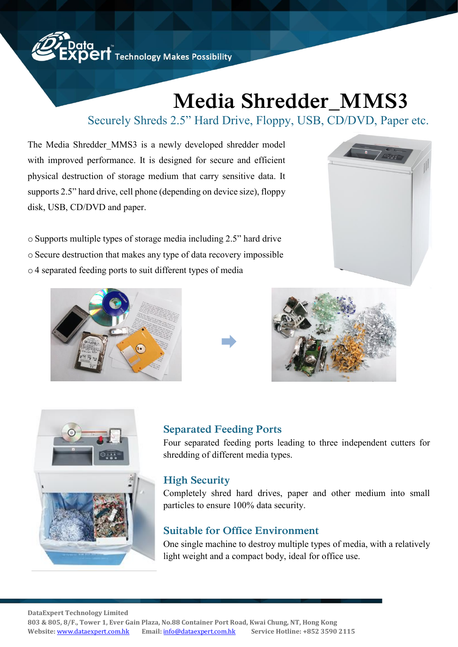

# **Media Shredder\_MMS3**

## Securely Shreds 2.5" Hard Drive, Floppy, USB, CD/DVD, Paper etc.

The Media Shredder MMS3 is a newly developed shredder model with improved performance. It is designed for secure and efficient physical destruction of storage medium that carry sensitive data. It supports 2.5" hard drive, cell phone (depending on device size), floppy disk, USB, CD/DVD and paper.

o Supports multiple types of storage media including 2.5" hard drive o Secure destruction that makes any type of data recovery impossible o 4 separated feeding ports to suit different types of media











#### **Separated Feeding Ports**

Four separated feeding ports leading to three independent cutters for shredding of different media types.

#### **High Security**

Completely shred hard drives, paper and other medium into small particles to ensure 100% data security.

#### **Suitable for Office Environment**

One single machine to destroy multiple types of media, with a relatively light weight and a compact body, ideal for office use.